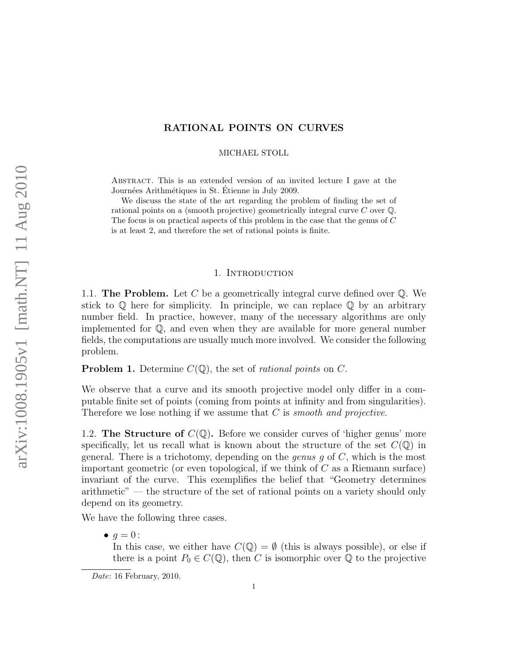## RATIONAL POINTS ON CURVES

MICHAEL STOLL

Abstract. This is an extended version of an invited lecture I gave at the Journées Arithmétiques in St. Étienne in July 2009.

We discuss the state of the art regarding the problem of finding the set of rational points on a (smooth projective) geometrically integral curve C over Q. The focus is on practical aspects of this problem in the case that the genus of C is at least 2, and therefore the set of rational points is finite.

### 1. Introduction

1.1. The Problem. Let C be a geometrically integral curve defined over  $\mathbb{Q}$ . We stick to  $\mathbb Q$  here for simplicity. In principle, we can replace  $\mathbb Q$  by an arbitrary number field. In practice, however, many of the necessary algorithms are only implemented for Q, and even when they are available for more general number fields, the computations are usually much more involved. We consider the following problem.

<span id="page-0-0"></span>**Problem 1.** Determine  $C(\mathbb{Q})$ , the set of *rational points* on C.

We observe that a curve and its smooth projective model only differ in a computable finite set of points (coming from points at infinity and from singularities). Therefore we lose nothing if we assume that C is *smooth* and projective.

1.2. The Structure of  $C(\mathbb{Q})$ . Before we consider curves of 'higher genus' more specifically, let us recall what is known about the structure of the set  $C(\mathbb{Q})$  in general. There is a trichotomy, depending on the *genus g* of  $C$ , which is the most important geometric (or even topological, if we think of  $C$  as a Riemann surface) invariant of the curve. This exemplifies the belief that "Geometry determines arithmetic" — the structure of the set of rational points on a variety should only depend on its geometry.

We have the following three cases.

 $\bullet$   $q=0$ :

In this case, we either have  $C(\mathbb{Q}) = \emptyset$  (this is always possible), or else if there is a point  $P_0 \in C(\mathbb{Q})$ , then C is isomorphic over  $\mathbb Q$  to the projective

Date: 16 February, 2010.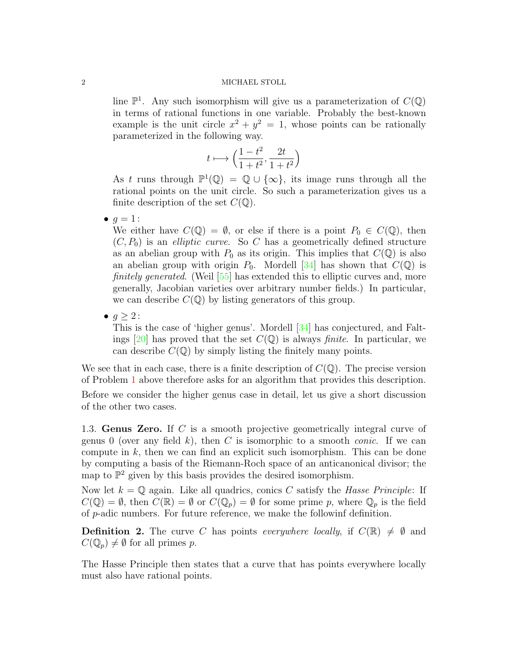line  $\mathbb{P}^1$ . Any such isomorphism will give us a parameterization of  $C(\mathbb{Q})$ in terms of rational functions in one variable. Probably the best-known example is the unit circle  $x^2 + y^2 = 1$ , whose points can be rationally parameterized in the following way.

$$
t\longmapsto \Big(\frac{1-t^2}{1+t^2},\frac{2t}{1+t^2}\Big)
$$

As t runs through  $\mathbb{P}^1(\mathbb{Q}) = \mathbb{Q} \cup \{\infty\}$ , its image runs through all the rational points on the unit circle. So such a parameterization gives us a finite description of the set  $C(\mathbb{Q})$ .

 $\bullet$   $q=1$  :

We either have  $C(\mathbb{Q}) = \emptyset$ , or else if there is a point  $P_0 \in C(\mathbb{Q})$ , then  $(C, P_0)$  is an *elliptic curve*. So C has a geometrically defined structure as an abelian group with  $P_0$  as its origin. This implies that  $C(\mathbb{Q})$  is also an abelian group with origin  $P_0$ . Mordell [\[34\]](#page-19-0) has shown that  $C(\mathbb{Q})$  is finitely generated. (Weil [\[55\]](#page-20-0) has extended this to elliptic curves and, more generally, Jacobian varieties over arbitrary number fields.) In particular, we can describe  $C(\mathbb{Q})$  by listing generators of this group.

 $\bullet$   $q \geq 2$ :

This is the case of 'higher genus'. Mordell [\[34\]](#page-19-0) has conjectured, and Falt-ings [\[20\]](#page-18-0) has proved that the set  $C(\mathbb{Q})$  is always *finite*. In particular, we can describe  $C(\mathbb{Q})$  by simply listing the finitely many points.

We see that in each case, there is a finite description of  $C(\mathbb{Q})$ . The precise version of Problem [1](#page-0-0) above therefore asks for an algorithm that provides this description. Before we consider the higher genus case in detail, let us give a short discussion of the other two cases.

1.3. Genus Zero. If C is a smooth projective geometrically integral curve of genus 0 (over any field k), then C is isomorphic to a smooth *conic*. If we can compute in  $k$ , then we can find an explicit such isomorphism. This can be done by computing a basis of the Riemann-Roch space of an anticanonical divisor; the map to  $\mathbb{P}^2$  given by this basis provides the desired isomorphism.

Now let  $k = \mathbb{Q}$  again. Like all quadrics, conics C satisfy the Hasse Principle: If  $C(\mathbb{Q}) = \emptyset$ , then  $C(\mathbb{R}) = \emptyset$  or  $C(\mathbb{Q}_p) = \emptyset$  for some prime p, where  $\mathbb{Q}_p$  is the field of p-adic numbers. For future reference, we make the followinf definition.

**Definition 2.** The curve C has points everywhere locally, if  $C(\mathbb{R}) \neq \emptyset$  and  $C(\mathbb{Q}_p)\neq \emptyset$  for all primes p.

The Hasse Principle then states that a curve that has points everywhere locally must also have rational points.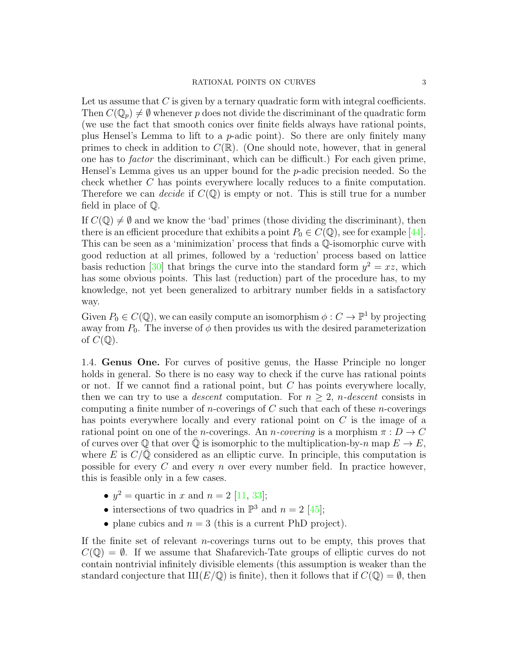Let us assume that  $C$  is given by a ternary quadratic form with integral coefficients. Then  $C(\mathbb{Q}_p) \neq \emptyset$  whenever p does not divide the discriminant of the quadratic form (we use the fact that smooth conics over finite fields always have rational points, plus Hensel's Lemma to lift to a p-adic point). So there are only finitely many primes to check in addition to  $C(\mathbb{R})$ . (One should note, however, that in general one has to factor the discriminant, which can be difficult.) For each given prime, Hensel's Lemma gives us an upper bound for the p-adic precision needed. So the check whether C has points everywhere locally reduces to a finite computation. Therefore we can *decide* if  $C(\mathbb{Q})$  is empty or not. This is still true for a number field in place of Q.

If  $C(\mathbb{Q}) \neq \emptyset$  and we know the 'bad' primes (those dividing the discriminant), then there is an efficient procedure that exhibits a point  $P_0 \in C(\mathbb{Q})$ , see for example [\[44\]](#page-19-1). This can be seen as a 'minimization' process that finds a Q-isomorphic curve with good reduction at all primes, followed by a 'reduction' process based on lattice basis reduction [\[30\]](#page-19-2) that brings the curve into the standard form  $y^2 = xz$ , which has some obvious points. This last (reduction) part of the procedure has, to my knowledge, not yet been generalized to arbitrary number fields in a satisfactory way.

Given  $P_0 \in C(\mathbb{Q})$ , we can easily compute an isomorphism  $\phi: C \to \mathbb{P}^1$  by projecting away from  $P_0$ . The inverse of  $\phi$  then provides us with the desired parameterization of  $C(\mathbb{Q})$ .

1.4. Genus One. For curves of positive genus, the Hasse Principle no longer holds in general. So there is no easy way to check if the curve has rational points or not. If we cannot find a rational point, but  $C$  has points everywhere locally, then we can try to use a *descent* computation. For  $n \geq 2$ , *n*-descent consists in computing a finite number of *n*-coverings of  $C$  such that each of these *n*-coverings has points everywhere locally and every rational point on C is the image of a rational point on one of the *n*-coverings. An *n-covering* is a morphism  $\pi : D \to C$ of curves over  $\mathbb{Q}$  that over  $\mathbb{Q}$  is isomorphic to the multiplication-by-n map  $E \to E$ , where E is  $C/\mathbb{Q}$  considered as an elliptic curve. In principle, this computation is possible for every  $C$  and every n over every number field. In practice however, this is feasible only in a few cases.

- $y^2$  = quartic in x and  $n = 2$  [\[11,](#page-18-1) [33\]](#page-19-3);
- intersections of two quadrics in  $\mathbb{P}^3$  and  $n = 2$  [\[45\]](#page-19-4);
- plane cubics and  $n = 3$  (this is a current PhD project).

If the finite set of relevant n-coverings turns out to be empty, this proves that  $C(\mathbb{Q}) = \emptyset$ . If we assume that Shafarevich-Tate groups of elliptic curves do not contain nontrivial infinitely divisible elements (this assumption is weaker than the standard conjecture that  $III(E/\mathbb{Q})$  is finite), then it follows that if  $C(\mathbb{Q}) = \emptyset$ , then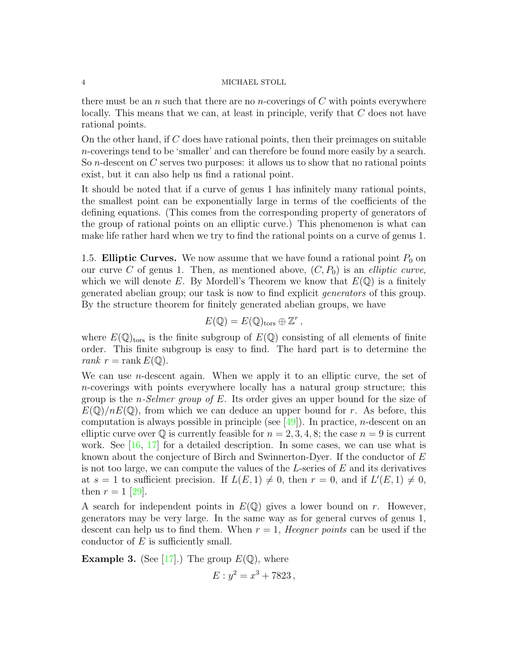there must be an n such that there are no n-coverings of  $C$  with points everywhere locally. This means that we can, at least in principle, verify that C does not have rational points.

On the other hand, if  $C$  does have rational points, then their preimages on suitable n-coverings tend to be 'smaller' and can therefore be found more easily by a search. So n-descent on C serves two purposes: it allows us to show that no rational points exist, but it can also help us find a rational point.

It should be noted that if a curve of genus 1 has infinitely many rational points, the smallest point can be exponentially large in terms of the coefficients of the defining equations. (This comes from the corresponding property of generators of the group of rational points on an elliptic curve.) This phenomenon is what can make life rather hard when we try to find the rational points on a curve of genus 1.

1.5. Elliptic Curves. We now assume that we have found a rational point  $P_0$  on our curve C of genus 1. Then, as mentioned above,  $(C, P_0)$  is an *elliptic curve*, which we will denote E. By Mordell's Theorem we know that  $E(\mathbb{Q})$  is a finitely generated abelian group; our task is now to find explicit generators of this group. By the structure theorem for finitely generated abelian groups, we have

$$
E(\mathbb{Q})=E(\mathbb{Q})_{\text{tors}}\oplus \mathbb{Z}^r,
$$

where  $E(\mathbb{Q})_{\text{tors}}$  is the finite subgroup of  $E(\mathbb{Q})$  consisting of all elements of finite order. This finite subgroup is easy to find. The hard part is to determine the rank  $r =$ rank  $E(\mathbb{Q})$ .

We can use *n*-descent again. When we apply it to an elliptic curve, the set of n-coverings with points everywhere locally has a natural group structure; this group is the *n-Selmer group of E*. Its order gives an upper bound for the size of  $E(\mathbb{Q})/nE(\mathbb{Q})$ , from which we can deduce an upper bound for r. As before, this computation is always possible in principle (see  $[49]$ ). In practice, *n*-descent on an elliptic curve over  $\mathbb Q$  is currently feasible for  $n = 2, 3, 4, 8$ ; the case  $n = 9$  is current work. See  $[16, 17]$  $[16, 17]$  $[16, 17]$  for a detailed description. In some cases, we can use what is known about the conjecture of Birch and Swinnerton-Dyer. If the conductor of E is not too large, we can compute the values of the  $L$ -series of  $E$  and its derivatives at  $s = 1$  to sufficient precision. If  $L(E, 1) \neq 0$ , then  $r = 0$ , and if  $L'(E, 1) \neq 0$ , then  $r = 1$  [\[29\]](#page-19-6).

A search for independent points in  $E(\mathbb{Q})$  gives a lower bound on r. However, generators may be very large. In the same way as for general curves of genus 1, descent can help us to find them. When  $r = 1$ , Heegner points can be used if the conductor of  $E$  is sufficiently small.

**Example 3.** (See [\[17\]](#page-18-3).) The group  $E(\mathbb{Q})$ , where

$$
E: y^2 = x^3 + 7823,
$$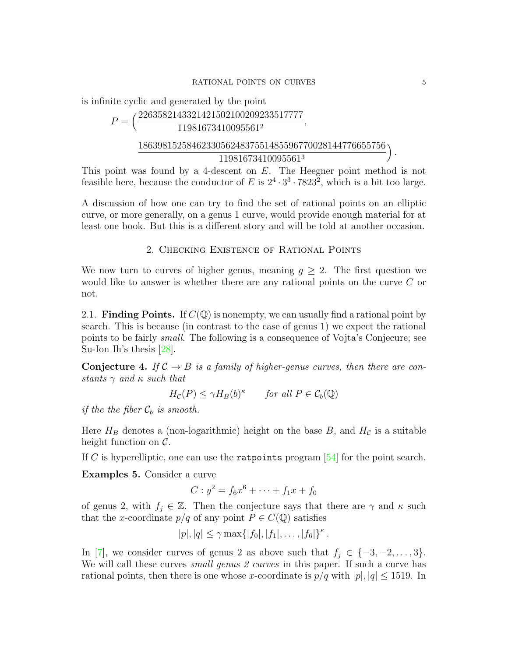is infinite cyclic and generated by the point

$$
P = \left(\frac{2263582143321421502100209233517777}{11981673410095561^2}, \frac{186398152584623305624837551485596770028144776655756}{11981673410095561^3}\right).
$$

This point was found by a 4-descent on E. The Heegner point method is not feasible here, because the conductor of E is  $2^4 \cdot 3^3 \cdot 7823^2$ , which is a bit too large.

A discussion of how one can try to find the set of rational points on an elliptic curve, or more generally, on a genus 1 curve, would provide enough material for at least one book. But this is a different story and will be told at another occasion.

2. Checking Existence of Rational Points

We now turn to curves of higher genus, meaning  $q \geq 2$ . The first question we would like to answer is whether there are any rational points on the curve C or not.

2.1. **Finding Points.** If  $C(\mathbb{Q})$  is nonempty, we can usually find a rational point by search. This is because (in contrast to the case of genus 1) we expect the rational points to be fairly small. The following is a consequence of Vojta's Conjecure; see Su-Ion Ih's thesis [\[28\]](#page-18-4).

**Conjecture 4.** If  $\mathcal{C} \to B$  is a family of higher-genus curves, then there are constants  $\gamma$  and  $\kappa$  such that

$$
H_{\mathcal{C}}(P) \le \gamma H_B(b)^{\kappa} \qquad \text{for all } P \in \mathcal{C}_b(\mathbb{Q})
$$

if the the fiber  $C_b$  is smooth.

Here  $H_B$  denotes a (non-logarithmic) height on the base B, and  $H_C$  is a suitable height function on C.

If C is hyperelliptic, one can use the ratpoints program [\[54\]](#page-20-1) for the point search.

Examples 5. Consider a curve

$$
C: y^2 = f_6 x^6 + \dots + f_1 x + f_0
$$

of genus 2, with  $f_j \in \mathbb{Z}$ . Then the conjecture says that there are  $\gamma$  and  $\kappa$  such that the x-coordinate  $p/q$  of any point  $P \in C(\mathbb{Q})$  satisfies

$$
|p|, |q| \leq \gamma \max\{|f_0|, |f_1|, \ldots, |f_6|\}^{\kappa}.
$$

In [\[7\]](#page-18-5), we consider curves of genus 2 as above such that  $f_j \in \{-3, -2, \ldots, 3\}$ . We will call these curves *small genus 2 curves* in this paper. If such a curve has rational points, then there is one whose x-coordinate is  $p/q$  with  $|p|, |q| \le 1519$ . In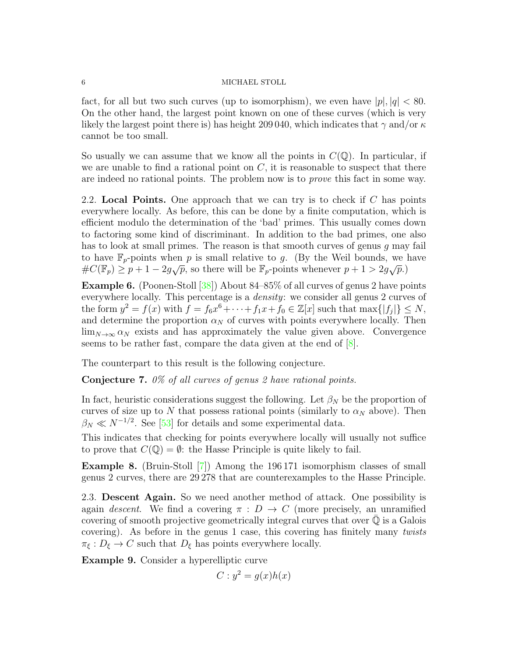fact, for all but two such curves (up to isomorphism), we even have  $|p|, |q| < 80$ . On the other hand, the largest point known on one of these curves (which is very likely the largest point there is) has height 209 040, which indicates that  $\gamma$  and/or  $\kappa$ cannot be too small.

So usually we can assume that we know all the points in  $C(\mathbb{Q})$ . In particular, if we are unable to find a rational point on  $C$ , it is reasonable to suspect that there are indeed no rational points. The problem now is to prove this fact in some way.

2.2. Local Points. One approach that we can try is to check if  $C$  has points everywhere locally. As before, this can be done by a finite computation, which is efficient modulo the determination of the 'bad' primes. This usually comes down to factoring some kind of discriminant. In addition to the bad primes, one also has to look at small primes. The reason is that smooth curves of genus  $g$  may fail to have  $\mathbb{F}_p$ -points when p is small relative to g. (By the Weil bounds, we have to have  $\mathbb{F}_p$ -points when p is small feative to y. (By the well bounds, we fix  $\#C(\mathbb{F}_p) \geq p+1-2g\sqrt{p}$ , so there will be  $\mathbb{F}_p$ -points whenever  $p+1 > 2g\sqrt{p}$ .)

Example 6. (Poonen-Stoll [\[38\]](#page-19-7)) About 84–85% of all curves of genus 2 have points everywhere locally. This percentage is a density: we consider all genus 2 curves of the form  $y^2 = f(x)$  with  $\tilde{f} = f_6 x^6 + \cdots + f_1 x + f_0 \in \mathbb{Z}[x]$  such that  $\max\{|f_j|\} \leq N$ , and determine the proportion  $\alpha_N$  of curves with points everywhere locally. Then  $\lim_{N\to\infty} \alpha_N$  exists and has approximately the value given above. Convergence seems to be rather fast, compare the data given at the end of [\[8\]](#page-18-6).

The counterpart to this result is the following conjecture.

Conjecture 7. 0% of all curves of genus 2 have rational points.

In fact, heuristic considerations suggest the following. Let  $\beta_N$  be the proportion of curves of size up to  $N$  that possess rational points (similarly to  $\alpha_N$  above). Then  $\beta_N \ll N^{-1/2}$ . See [\[53\]](#page-20-2) for details and some experimental data.

This indicates that checking for points everywhere locally will usually not suffice to prove that  $C(\mathbb{Q}) = \emptyset$ : the Hasse Principle is quite likely to fail.

Example 8. (Bruin-Stoll [\[7\]](#page-18-5)) Among the 196 171 isomorphism classes of small genus 2 curves, there are 29 278 that are counterexamples to the Hasse Principle.

2.3. Descent Again. So we need another method of attack. One possibility is again descent. We find a covering  $\pi : D \to C$  (more precisely, an unramified covering of smooth projective geometrically integral curves that over  $\mathbb Q$  is a Galois covering). As before in the genus 1 case, this covering has finitely many twists  $\pi_{\xi}: D_{\xi} \to C$  such that  $D_{\xi}$  has points everywhere locally.

Example 9. Consider a hyperelliptic curve

$$
C: y^2 = g(x)h(x)
$$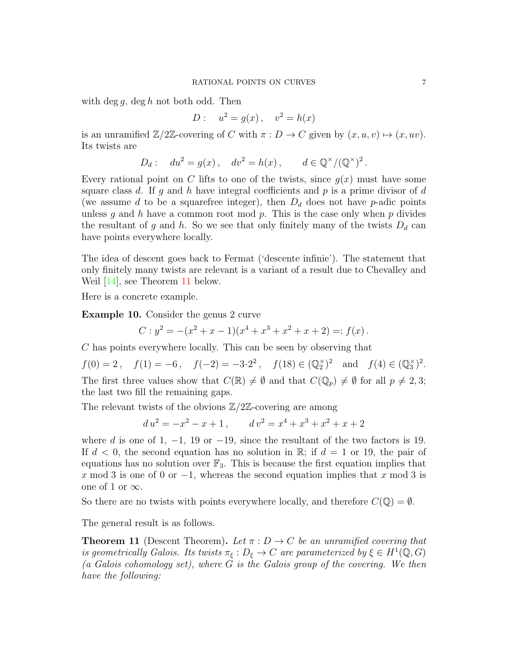with deg g, deg h not both odd. Then

$$
D: u^2 = g(x), v^2 = h(x)
$$

is an unramified  $\mathbb{Z}/2\mathbb{Z}$ -covering of C with  $\pi: D \to C$  given by  $(x, u, v) \mapsto (x, uv)$ . Its twists are

 $D_d: du^2 = g(x), dv^2 = h(x), d \in \mathbb{Q}^{\times}/(\mathbb{Q}^{\times})^2.$ 

Every rational point on C lifts to one of the twists, since  $g(x)$  must have some square class d. If g and h have integral coefficients and  $p$  is a prime divisor of d (we assume d to be a squarefree integer), then  $D_d$  does not have p-adic points unless  $g$  and  $h$  have a common root mod  $p$ . This is the case only when  $p$  divides the resultant of g and h. So we see that only finitely many of the twists  $D_d$  can have points everywhere locally.

The idea of descent goes back to Fermat ('descente infinie'). The statement that only finitely many twists are relevant is a variant of a result due to Chevalley and Weil [\[14\]](#page-18-7), see Theorem [11](#page-6-0) below.

Here is a concrete example.

Example 10. Consider the genus 2 curve

$$
C: y2 = -(x2 + x - 1)(x4 + x3 + x2 + x + 2) =: f(x).
$$

C has points everywhere locally. This can be seen by observing that

 $f(0) = 2$ ,  $f(1) = -6$ ,  $f(-2) = -3 \cdot 2^2$ ,  $f(18) \in (\mathbb{Q}_2^{\times})^2$  and  $f(4) \in (\mathbb{Q}_3^{\times})^2$ . The first three values show that  $C(\mathbb{R}) \neq \emptyset$  and that  $C(\mathbb{Q}_p) \neq \emptyset$  for all  $p \neq 2, 3$ ; the last two fill the remaining gaps.

The relevant twists of the obvious  $\mathbb{Z}/2\mathbb{Z}$ -covering are among

$$
d u2 = -x2 - x + 1, \qquad d v2 = x4 + x3 + x2 + x + 2
$$

where d is one of 1,  $-1$ , 19 or  $-19$ , since the resultant of the two factors is 19. If  $d < 0$ , the second equation has no solution in R; if  $d = 1$  or 19, the pair of equations has no solution over  $\mathbb{F}_3$ . This is because the first equation implies that x mod 3 is one of 0 or  $-1$ , whereas the second equation implies that x mod 3 is one of 1 or  $\infty$ .

So there are no twists with points everywhere locally, and therefore  $C(\mathbb{Q}) = \emptyset$ .

The general result is as follows.

<span id="page-6-0"></span>**Theorem 11** (Descent Theorem). Let  $\pi : D \to C$  be an unramified covering that is geometrically Galois. Its twists  $\pi_{\xi}: D_{\xi} \to C$  are parameterized by  $\xi \in H^1(\mathbb{Q}, G)$ (a Galois cohomology set), where  $\tilde{G}$  is the Galois group of the covering. We then have the following: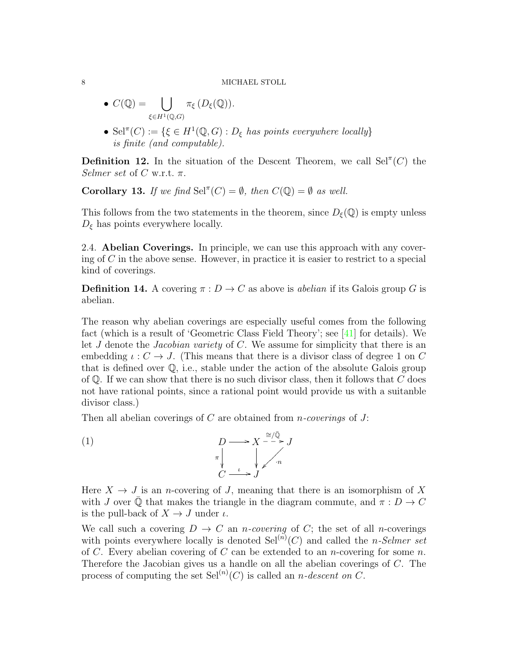• 
$$
C(\mathbb{Q}) = \bigcup_{\xi \in H^1(\mathbb{Q}, G)} \pi_{\xi} (D_{\xi}(\mathbb{Q})).
$$

• Sel<sup> $\pi$ </sup>(C) := { $\xi \in H^1(\mathbb{Q}, G)$  :  $D_{\xi}$  has points everywhere locally} is finite (and computable).

**Definition 12.** In the situation of the Descent Theorem, we call  $\text{Sel}^{\pi}(C)$  the Selmer set of C w.r.t.  $\pi$ .

**Corollary 13.** If we find Sel<sup> $\pi$ </sup>(C) =  $\emptyset$ , then  $C(\mathbb{Q}) = \emptyset$  as well.

This follows from the two statements in the theorem, since  $D_{\xi}(\mathbb{Q})$  is empty unless  $D_{\xi}$  has points everywhere locally.

2.4. Abelian Coverings. In principle, we can use this approach with any covering of  $C$  in the above sense. However, in practice it is easier to restrict to a special kind of coverings.

**Definition 14.** A covering  $\pi: D \to C$  as above is *abelian* if its Galois group G is abelian.

The reason why abelian coverings are especially useful comes from the following fact (which is a result of 'Geometric Class Field Theory'; see [\[41\]](#page-19-8) for details). We let  $J$  denote the *Jacobian variety* of  $C$ . We assume for simplicity that there is an embedding  $\iota: C \to J$ . (This means that there is a divisor class of degree 1 on C that is defined over Q, i.e., stable under the action of the absolute Galois group of  $\mathbb Q$ . If we can show that there is no such divisor class, then it follows that  $C$  does not have rational points, since a rational point would provide us with a suitanble divisor class.)

<span id="page-7-0"></span>Then all abelian coverings of  $C$  are obtained from *n*-coverings of  $J$ :



Here  $X \to J$  is an *n*-covering of J, meaning that there is an isomorphism of X with J over  $\overline{Q}$  that makes the triangle in the diagram commute, and  $\pi : D \to C$ is the pull-back of  $X \to J$  under  $\iota$ .

We call such a covering  $D \to C$  an *n*-covering of C; the set of all *n*-coverings with points everywhere locally is denoted  $\text{Sel}^{(n)}(C)$  and called the *n*-Selmer set of C. Every abelian covering of C can be extended to an *n*-covering for some *n*. Therefore the Jacobian gives us a handle on all the abelian coverings of C. The process of computing the set  $\text{Sel}^{(n)}(C)$  is called an *n*-descent on C.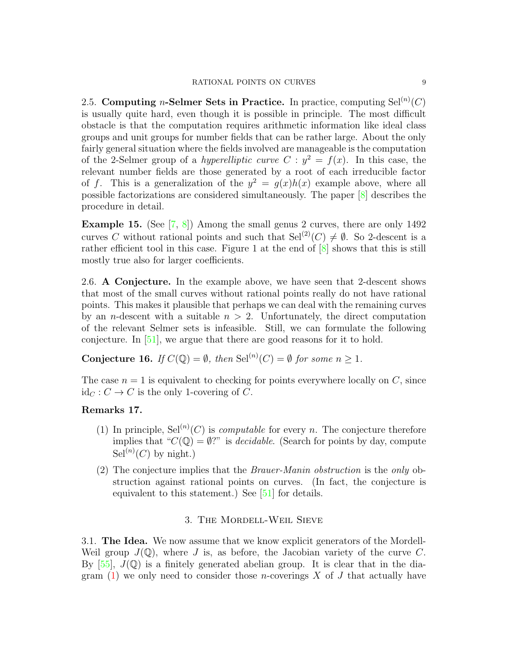2.5. Computing *n*-Selmer Sets in Practice. In practice, computing  $\text{Sel}^{(n)}(C)$ is usually quite hard, even though it is possible in principle. The most difficult obstacle is that the computation requires arithmetic information like ideal class groups and unit groups for number fields that can be rather large. About the only fairly general situation where the fields involved are manageable is the computation of the 2-Selmer group of a *hyperelliptic curve*  $C: y^2 = f(x)$ . In this case, the relevant number fields are those generated by a root of each irreducible factor of f. This is a generalization of the  $y^2 = g(x)h(x)$  example above, where all possible factorizations are considered simultaneously. The paper [\[8\]](#page-18-6) describes the procedure in detail.

**Example 15.** (See  $\begin{bmatrix} 7, 8 \end{bmatrix}$ ) Among the small genus 2 curves, there are only 1492 curves C without rational points and such that  $\text{Sel}^{(2)}(C) \neq \emptyset$ . So 2-descent is a rather efficient tool in this case. Figure 1 at the end of [\[8\]](#page-18-6) shows that this is still mostly true also for larger coefficients.

2.6. A Conjecture. In the example above, we have seen that 2-descent shows that most of the small curves without rational points really do not have rational points. This makes it plausible that perhaps we can deal with the remaining curves by an *n*-descent with a suitable  $n > 2$ . Unfortunately, the direct computation of the relevant Selmer sets is infeasible. Still, we can formulate the following conjecture. In [\[51\]](#page-19-9), we argue that there are good reasons for it to hold.

<span id="page-8-0"></span>**Conjecture 16.** If  $C(\mathbb{Q}) = \emptyset$ , then  $\text{Sel}^{(n)}(C) = \emptyset$  for some  $n \geq 1$ .

The case  $n = 1$  is equivalent to checking for points everywhere locally on C, since  $\mathrm{id}_C : C \to C$  is the only 1-covering of C.

# Remarks 17.

- (1) In principle,  $\text{Sel}^{(n)}(C)$  is *computable* for every *n*. The conjecture therefore implies that " $C(\mathbb{Q}) = \emptyset$ ?" is *decidable*. (Search for points by day, compute  $\operatorname{Sel}^{(n)}(C)$  by night.)
- (2) The conjecture implies that the Brauer-Manin obstruction is the only obstruction against rational points on curves. (In fact, the conjecture is equivalent to this statement.) See [\[51\]](#page-19-9) for details.

## 3. The Mordell-Weil Sieve

3.1. The Idea. We now assume that we know explicit generators of the Mordell-Weil group  $J(\mathbb{Q})$ , where J is, as before, the Jacobian variety of the curve C. By  $[55]$ ,  $J(\mathbb{Q})$  is a finitely generated abelian group. It is clear that in the diagram  $(1)$  we only need to consider those *n*-coverings X of J that actually have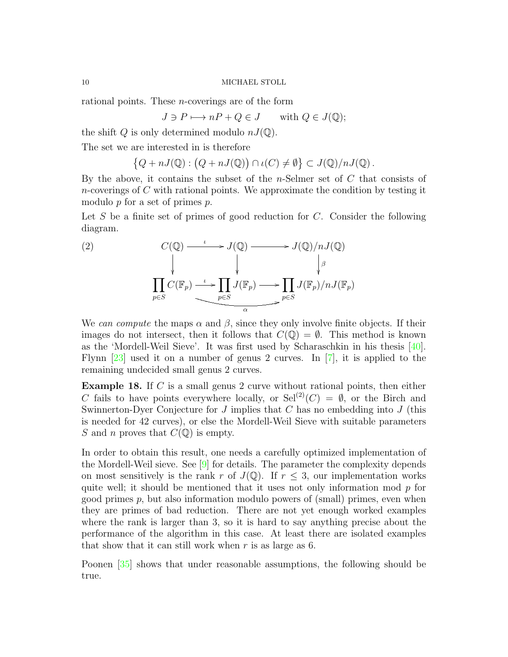rational points. These n-coverings are of the form

$$
J \ni P \longmapsto nP + Q \in J \quad \text{with } Q \in J(\mathbb{Q});
$$

the shift Q is only determined modulo  $nJ(\mathbb{Q})$ .

The set we are interested in is therefore

$$
\left\{Q + nJ(\mathbb{Q}) : \left(Q + nJ(\mathbb{Q})\right) \cap \iota(C) \neq \emptyset\right\} \subset J(\mathbb{Q})/nJ(\mathbb{Q}).
$$

By the above, it contains the subset of the n-Selmer set of  $C$  that consists of  $n$ -coverings of  $C$  with rational points. We approximate the condition by testing it modulo p for a set of primes p.

Let S be a finite set of primes of good reduction for  $C$ . Consider the following diagram.

<span id="page-9-0"></span>(2) 
$$
C(\mathbb{Q}) \longrightarrow J(\mathbb{Q}) \longrightarrow J(\mathbb{Q})/nJ(\mathbb{Q})
$$

$$
\downarrow \qquad \qquad \downarrow \qquad \qquad \downarrow \qquad \qquad \downarrow \qquad \qquad \downarrow \qquad \qquad \downarrow \qquad \qquad \downarrow \qquad \qquad \downarrow \qquad \qquad \downarrow \qquad \qquad \downarrow \qquad \qquad \downarrow \qquad \qquad \downarrow \qquad \qquad \downarrow \qquad \qquad \downarrow \qquad \qquad \downarrow \qquad \qquad \downarrow \qquad \qquad \downarrow \qquad \qquad \downarrow \qquad \qquad \downarrow \qquad \qquad \downarrow \qquad \qquad \downarrow \qquad \qquad \downarrow \qquad \qquad \downarrow \qquad \qquad \downarrow \qquad \qquad \downarrow \qquad \qquad \downarrow \qquad \qquad \downarrow \qquad \qquad \downarrow \qquad \qquad \downarrow \qquad \qquad \downarrow \qquad \qquad \downarrow \qquad \qquad \downarrow \qquad \qquad \downarrow \qquad \qquad \downarrow \qquad \qquad \downarrow \qquad \qquad \downarrow \qquad \qquad \downarrow \qquad \qquad \downarrow \qquad \qquad \downarrow \qquad \qquad \downarrow \qquad \qquad \downarrow \qquad \qquad \downarrow \qquad \qquad \downarrow \qquad \qquad \downarrow \qquad \qquad \downarrow \qquad \qquad \downarrow \qquad \qquad \downarrow \qquad \qquad \downarrow \qquad \qquad \downarrow \qquad \qquad \downarrow \qquad \qquad \downarrow \qquad \qquad \downarrow \qquad \qquad \downarrow \qquad \qquad \downarrow \qquad \qquad \downarrow \qquad \qquad \downarrow \qquad \qquad \downarrow \qquad \qquad \downarrow \qquad \qquad \downarrow \qquad \qquad \downarrow \qquad \qquad \downarrow \qquad \qquad \downarrow \qquad \qquad \downarrow \qquad \qquad \downarrow \qquad \qquad \downarrow \qquad \qquad \downarrow \qquad \qquad \downarrow \qquad \qquad \downarrow \qquad \qquad \downarrow \qquad \qquad \downarrow \qquad \qquad \downarrow \qquad \qquad \downarrow \qquad \qquad \downarrow \qquad \qquad \downarrow \qquad \qquad \downarrow \qquad \qquad \downarrow \qquad \qquad \downarrow \qquad \qquad \downarrow \qquad \qquad \downarrow \qquad \qquad \downarrow \
$$

We can compute the maps  $\alpha$  and  $\beta$ , since they only involve finite objects. If their images do not intersect, then it follows that  $C(\mathbb{Q}) = \emptyset$ . This method is known as the 'Mordell-Weil Sieve'. It was first used by Scharaschkin in his thesis [\[40\]](#page-19-10). Flynn [\[23\]](#page-18-8) used it on a number of genus 2 curves. In [\[7\]](#page-18-5), it is applied to the remaining undecided small genus 2 curves.

Example 18. If C is a small genus 2 curve without rational points, then either C fails to have points everywhere locally, or  $\text{Sel}^{(2)}(C) = \emptyset$ , or the Birch and Swinnerton-Dyer Conjecture for  $J$  implies that  $C$  has no embedding into  $J$  (this is needed for 42 curves), or else the Mordell-Weil Sieve with suitable parameters S and n proves that  $C(\mathbb{Q})$  is empty.

In order to obtain this result, one needs a carefully optimized implementation of the Mordell-Weil sieve. See [\[9\]](#page-18-9) for details. The parameter the complexity depends on most sensitively is the rank r of  $J(\mathbb{Q})$ . If  $r \leq 3$ , our implementation works quite well; it should be mentioned that it uses not only information mod  $p$  for good primes  $p$ , but also information modulo powers of (small) primes, even when they are primes of bad reduction. There are not yet enough worked examples where the rank is larger than 3, so it is hard to say anything precise about the performance of the algorithm in this case. At least there are isolated examples that show that it can still work when  $r$  is as large as 6.

Poonen [\[35\]](#page-19-11) shows that under reasonable assumptions, the following should be true.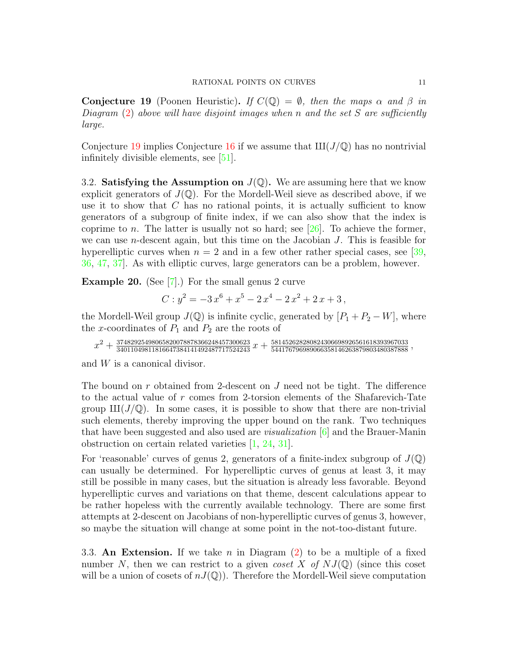<span id="page-10-0"></span>**Conjecture 19** (Poonen Heuristic). If  $C(\mathbb{Q}) = \emptyset$ , then the maps  $\alpha$  and  $\beta$  in Diagram  $(2)$  above will have disjoint images when n and the set S are sufficiently large.

Conjecture [19](#page-10-0) implies Conjecture [16](#page-8-0) if we assume that  $III(J/\mathbb{Q})$  has no nontrivial infinitely divisible elements, see [\[51\]](#page-19-9).

3.2. **Satisfying the Assumption on**  $J(\mathbb{Q})$ . We are assuming here that we know explicit generators of  $J(\mathbb{Q})$ . For the Mordell-Weil sieve as described above, if we use it to show that  $C$  has no rational points, it is actually sufficient to know generators of a subgroup of finite index, if we can also show that the index is coprime to n. The latter is usually not so hard; see  $[26]$ . To achieve the former, we can use n-descent again, but this time on the Jacobian J. This is feasible for hyperelliptic curves when  $n = 2$  and in a few other rather special cases, see [\[39,](#page-19-12)] [36,](#page-19-13) [47,](#page-19-14) [37\]](#page-19-15). As with elliptic curves, large generators can be a problem, however.

Example 20. (See [\[7\]](#page-18-5).) For the small genus 2 curve

$$
C: y^2 = -3x^6 + x^5 - 2x^4 - 2x^2 + 2x + 3,
$$

the Mordell-Weil group  $J(\mathbb{Q})$  is infinite cyclic, generated by  $[P_1 + P_2 - W]$ , where the x-coordinates of  $P_1$  and  $P_2$  are the roots of

$$
x^2+\tfrac{37482925498065820078878366248457300623}{34011049811816647384141492487717524243}x+\tfrac{581452628280824306698926561618393967033}{544176796989066358146263879803480387888},
$$

and W is a canonical divisor.

The bound on r obtained from 2-descent on J need not be tight. The difference to the actual value of r comes from 2-torsion elements of the Shafarevich-Tate group  $\text{III}(J/\mathbb{Q})$ . In some cases, it is possible to show that there are non-trivial such elements, thereby improving the upper bound on the rank. Two techniques that have been suggested and also used are *visualization*  $[6]$  and the Brauer-Manin obstruction on certain related varieties [\[1,](#page-17-0) [24,](#page-18-12) [31\]](#page-19-16).

For 'reasonable' curves of genus 2, generators of a finite-index subgroup of  $J(\mathbb{Q})$ can usually be determined. For hyperelliptic curves of genus at least 3, it may still be possible in many cases, but the situation is already less favorable. Beyond hyperelliptic curves and variations on that theme, descent calculations appear to be rather hopeless with the currently available technology. There are some first attempts at 2-descent on Jacobians of non-hyperelliptic curves of genus 3, however, so maybe the situation will change at some point in the not-too-distant future.

3.3. An Extension. If we take n in Diagram  $(2)$  to be a multiple of a fixed number N, then we can restrict to a given *coset* X of  $NJ(\mathbb{Q})$  (since this coset will be a union of cosets of  $nJ(\mathbb{Q})$ . Therefore the Mordell-Weil sieve computation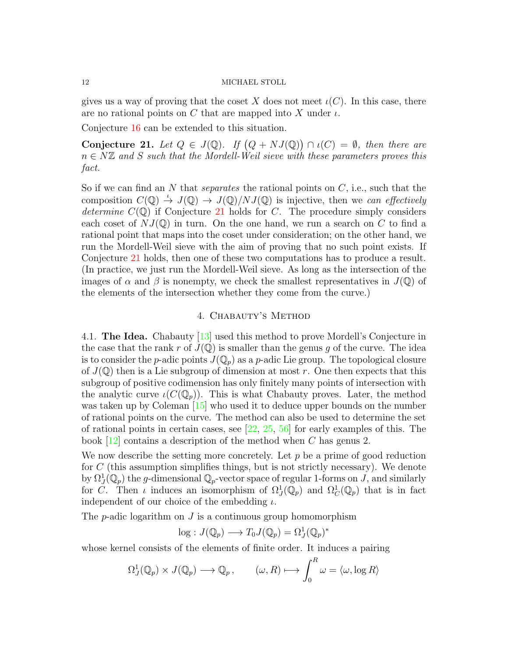gives us a way of proving that the coset X does not meet  $\iota(C)$ . In this case, there are no rational points on C that are mapped into X under  $\iota$ .

Conjecture [16](#page-8-0) can be extended to this situation.

<span id="page-11-0"></span>Conjecture 21. Let  $Q \in J(\mathbb{Q})$ . If  $(Q + NJ(\mathbb{Q})) \cap \iota(C) = \emptyset$ , then there are  $n \in N\mathbb{Z}$  and S such that the Mordell-Weil sieve with these parameters proves this fact.

So if we can find an  $N$  that *separates* the rational points on  $C$ , i.e., such that the composition  $C(\mathbb{Q}) \stackrel{\iota}{\to} J(\mathbb{Q}) \stackrel{\cdot}{\to} J(\mathbb{Q})/NJ(\mathbb{Q})$  is injective, then we can effectively determine  $C(\mathbb{Q})$  if Conjecture [21](#page-11-0) holds for C. The procedure simply considers each coset of  $NJ(\mathbb{Q})$  in turn. On the one hand, we run a search on C to find a rational point that maps into the coset under consideration; on the other hand, we run the Mordell-Weil sieve with the aim of proving that no such point exists. If Conjecture [21](#page-11-0) holds, then one of these two computations has to produce a result. (In practice, we just run the Mordell-Weil sieve. As long as the intersection of the images of  $\alpha$  and  $\beta$  is nonempty, we check the smallest representatives in  $J(\mathbb{Q})$  of the elements of the intersection whether they come from the curve.)

### 4. Chabauty's Method

4.1. The Idea. Chabauty [\[13\]](#page-18-13) used this method to prove Mordell's Conjecture in the case that the rank r of  $J(\mathbb{Q})$  is smaller than the genus q of the curve. The idea is to consider the *p*-adic points  $J(\mathbb{Q}_p)$  as a *p*-adic Lie group. The topological closure of  $J(\mathbb{Q})$  then is a Lie subgroup of dimension at most r. One then expects that this subgroup of positive codimension has only finitely many points of intersection with the analytic curve  $\iota(C(\mathbb{Q}_p))$ . This is what Chabauty proves. Later, the method was taken up by Coleman [\[15\]](#page-18-14) who used it to deduce upper bounds on the number of rational points on the curve. The method can also be used to determine the set of rational points in certain cases, see  $[22, 25, 56]$  $[22, 25, 56]$  $[22, 25, 56]$  $[22, 25, 56]$  $[22, 25, 56]$  for early examples of this. The book [\[12\]](#page-18-17) contains a description of the method when C has genus 2.

We now describe the setting more concretely. Let  $p$  be a prime of good reduction for  $C$  (this assumption simplifies things, but is not strictly necessary). We denote by  $\Omega^1_J(\mathbb{Q}_p)$  the g-dimensional  $\mathbb{Q}_p$ -vector space of regular 1-forms on  $J$ , and similarly for C. Then *i* induces an isomorphism of  $\Omega_J^1(\mathbb{Q}_p)$  and  $\Omega_C^1(\mathbb{Q}_p)$  that is in fact independent of our choice of the embedding  $\iota$ .

The *p*-adic logarithm on  $J$  is a continuous group homomorphism

$$
\log: J(\mathbb{Q}_p) \longrightarrow T_0 J(\mathbb{Q}_p) = \Omega_J^1(\mathbb{Q}_p)^*
$$

whose kernel consists of the elements of finite order. It induces a pairing

$$
\Omega_J^1(\mathbb{Q}_p) \times J(\mathbb{Q}_p) \longrightarrow \mathbb{Q}_p, \qquad (\omega, R) \longmapsto \int_0^R \omega = \langle \omega, \log R \rangle
$$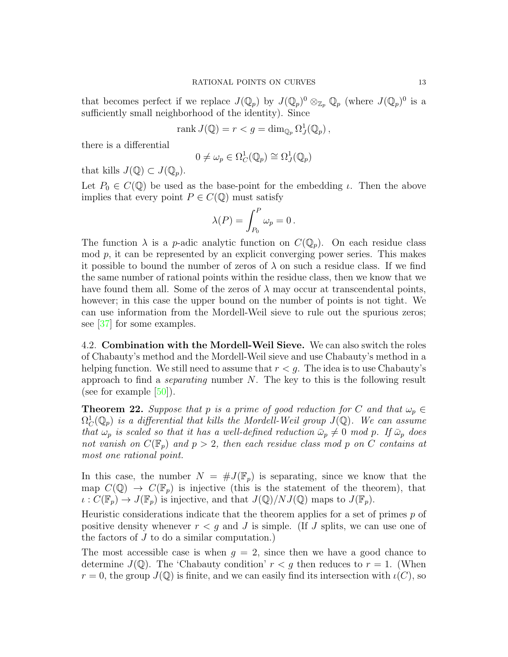that becomes perfect if we replace  $J(\mathbb{Q}_p)$  by  $J(\mathbb{Q}_p)^0 \otimes_{\mathbb{Z}_p} \mathbb{Q}_p$  (where  $J(\mathbb{Q}_p)^0$  is a sufficiently small neighborhood of the identity). Since

$$
rank J(\mathbb{Q}) = r < g = \dim_{\mathbb{Q}_p} \Omega_J^1(\mathbb{Q}_p),
$$

there is a differential

$$
0 \neq \omega_p \in \Omega^1_C(\mathbb{Q}_p) \cong \Omega^1_J(\mathbb{Q}_p)
$$

that kills  $J(\mathbb{Q}) \subset J(\mathbb{Q}_p)$ .

Let  $P_0 \in C(\mathbb{Q})$  be used as the base-point for the embedding  $\iota$ . Then the above implies that every point  $P \in C(\mathbb{Q})$  must satisfy

$$
\lambda(P) = \int_{P_0}^P \omega_p = 0.
$$

The function  $\lambda$  is a *p*-adic analytic function on  $C(\mathbb{Q}_p)$ . On each residue class  $\mod p$ , it can be represented by an explicit converging power series. This makes it possible to bound the number of zeros of  $\lambda$  on such a residue class. If we find the same number of rational points within the residue class, then we know that we have found them all. Some of the zeros of  $\lambda$  may occur at transcendental points, however; in this case the upper bound on the number of points is not tight. We can use information from the Mordell-Weil sieve to rule out the spurious zeros; see [\[37\]](#page-19-15) for some examples.

4.2. Combination with the Mordell-Weil Sieve. We can also switch the roles of Chabauty's method and the Mordell-Weil sieve and use Chabauty's method in a helping function. We still need to assume that  $r < g$ . The idea is to use Chabauty's approach to find a *separating* number  $N$ . The key to this is the following result (see for example  $[50]$ ).

**Theorem 22.** Suppose that p is a prime of good reduction for C and that  $\omega_p \in$  $\Omega^1_C(\mathbb{Q}_p)$  is a differential that kills the Mordell-Weil group  $J(\mathbb{Q})$ . We can assume that  $\omega_p$  is scaled so that it has a well-defined reduction  $\bar{\omega}_p \neq 0$  mod p. If  $\bar{\omega}_p$  does not vanish on  $C(\mathbb{F}_p)$  and  $p > 2$ , then each residue class mod p on C contains at most one rational point.

In this case, the number  $N = #J(\mathbb{F}_p)$  is separating, since we know that the map  $C(\mathbb{Q}) \to C(\mathbb{F}_p)$  is injective (this is the statement of the theorem), that  $\iota: C(\mathbb{F}_p) \to J(\mathbb{F}_p)$  is injective, and that  $J(\mathbb{Q})/NJ(\mathbb{Q})$  maps to  $J(\mathbb{F}_p)$ .

Heuristic considerations indicate that the theorem applies for a set of primes  $p$  of positive density whenever  $r < g$  and J is simple. (If J splits, we can use one of the factors of J to do a similar computation.)

The most accessible case is when  $q = 2$ , since then we have a good chance to determine  $J(\mathbb{Q})$ . The 'Chabauty condition'  $r < g$  then reduces to  $r = 1$ . (When  $r = 0$ , the group  $J(\mathbb{Q})$  is finite, and we can easily find its intersection with  $\iota(C)$ , so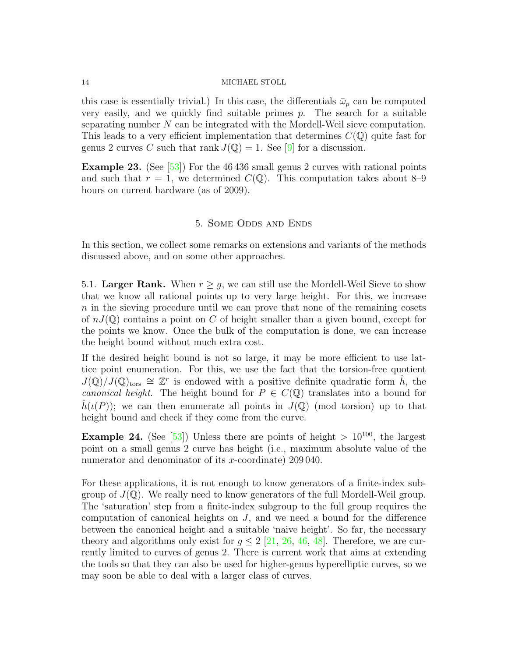this case is essentially trivial.) In this case, the differentials  $\bar{\omega}_p$  can be computed very easily, and we quickly find suitable primes  $p$ . The search for a suitable separating number N can be integrated with the Mordell-Weil sieve computation. This leads to a very efficient implementation that determines  $C(\mathbb{Q})$  quite fast for genus 2 curves C such that rank  $J(\mathbb{Q}) = 1$ . See [\[9\]](#page-18-9) for a discussion.

Example 23. (See [\[53\]](#page-20-2)) For the 46 436 small genus 2 curves with rational points and such that  $r = 1$ , we determined  $C(\mathbb{Q})$ . This computation takes about 8–9 hours on current hardware (as of 2009).

### 5. Some Odds and Ends

In this section, we collect some remarks on extensions and variants of the methods discussed above, and on some other approaches.

5.1. Larger Rank. When  $r \geq g$ , we can still use the Mordell-Weil Sieve to show that we know all rational points up to very large height. For this, we increase n in the sieving procedure until we can prove that none of the remaining cosets of  $nJ(\mathbb{Q})$  contains a point on C of height smaller than a given bound, except for the points we know. Once the bulk of the computation is done, we can increase the height bound without much extra cost.

If the desired height bound is not so large, it may be more efficient to use lattice point enumeration. For this, we use the fact that the torsion-free quotient  $J(\mathbb{Q})/J(\mathbb{Q})_{\text{tors}} \cong \mathbb{Z}^r$  is endowed with a positive definite quadratic form  $\hat{h}$ , the canonical height. The height bound for  $P \in C(\mathbb{Q})$  translates into a bound for  $h(\iota(P))$ ; we can then enumerate all points in  $J(\mathbb{Q})$  (mod torsion) up to that height bound and check if they come from the curve.

**Example 24.** (See [\[53\]](#page-20-2)) Unless there are points of height  $> 10^{100}$ , the largest point on a small genus 2 curve has height (i.e., maximum absolute value of the numerator and denominator of its x-coordinate) 209040.

For these applications, it is not enough to know generators of a finite-index subgroup of  $J(\mathbb{Q})$ . We really need to know generators of the full Mordell-Weil group. The 'saturation' step from a finite-index subgroup to the full group requires the computation of canonical heights on J, and we need a bound for the difference between the canonical height and a suitable 'naive height'. So far, the necessary theory and algorithms only exist for  $g \leq 2$  [\[21,](#page-18-18) [26,](#page-18-10) [46,](#page-19-18) [48\]](#page-19-19). Therefore, we are currently limited to curves of genus 2. There is current work that aims at extending the tools so that they can also be used for higher-genus hyperelliptic curves, so we may soon be able to deal with a larger class of curves.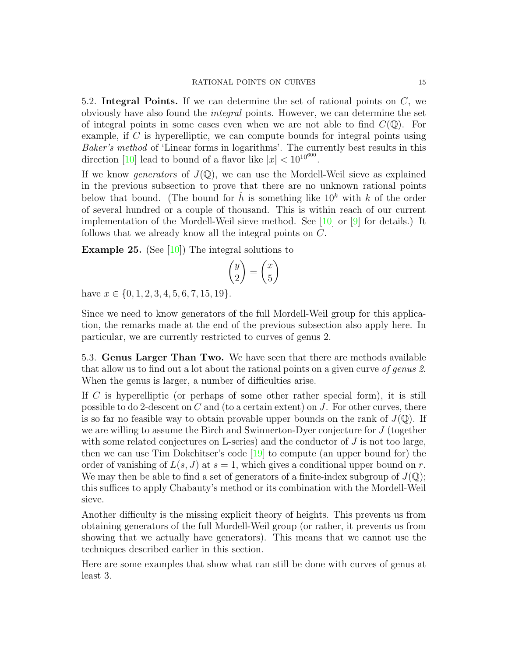5.2. Integral Points. If we can determine the set of rational points on  $C$ , we obviously have also found the integral points. However, we can determine the set of integral points in some cases even when we are not able to find  $C(\mathbb{Q})$ . For example, if C is hyperelliptic, we can compute bounds for integral points using Baker's method of 'Linear forms in logarithms'. The currently best results in this direction [\[10\]](#page-18-19) lead to bound of a flavor like  $|x| < 10^{10^{600}}$ .

If we know *generators* of  $J(\mathbb{Q})$ , we can use the Mordell-Weil sieve as explained in the previous subsection to prove that there are no unknown rational points below that bound. (The bound for  $\hat{h}$  is something like  $10^k$  with k of the order of several hundred or a couple of thousand. This is within reach of our current implementation of the Mordell-Weil sieve method. See [\[10\]](#page-18-19) or [\[9\]](#page-18-9) for details.) It follows that we already know all the integral points on C.

**Example 25.** (See [\[10\]](#page-18-19)) The integral solutions to

$$
\binom{y}{2} = \binom{x}{5}
$$

have  $x \in \{0, 1, 2, 3, 4, 5, 6, 7, 15, 19\}.$ 

Since we need to know generators of the full Mordell-Weil group for this application, the remarks made at the end of the previous subsection also apply here. In particular, we are currently restricted to curves of genus 2.

5.3. Genus Larger Than Two. We have seen that there are methods available that allow us to find out a lot about the rational points on a given curve of genus 2. When the genus is larger, a number of difficulties arise.

If C is hyperelliptic (or perhaps of some other rather special form), it is still possible to do 2-descent on  $C$  and (to a certain extent) on  $J$ . For other curves, there is so far no feasible way to obtain provable upper bounds on the rank of  $J(\mathbb{Q})$ . If we are willing to assume the Birch and Swinnerton-Dyer conjecture for J (together with some related conjectures on L-series) and the conductor of  $J$  is not too large, then we can use Tim Dokchitser's code [\[19\]](#page-18-20) to compute (an upper bound for) the order of vanishing of  $L(s, J)$  at  $s = 1$ , which gives a conditional upper bound on r. We may then be able to find a set of generators of a finite-index subgroup of  $J(\mathbb{Q})$ ; this suffices to apply Chabauty's method or its combination with the Mordell-Weil sieve.

Another difficulty is the missing explicit theory of heights. This prevents us from obtaining generators of the full Mordell-Weil group (or rather, it prevents us from showing that we actually have generators). This means that we cannot use the techniques described earlier in this section.

Here are some examples that show what can still be done with curves of genus at least 3.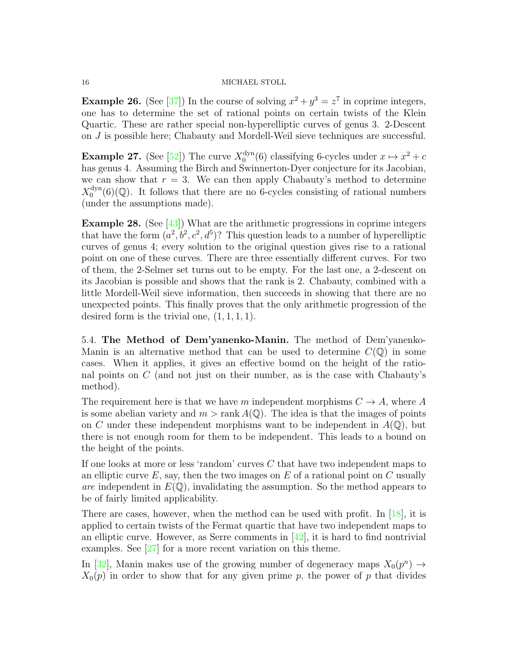**Example 26.** (See [\[37\]](#page-19-15)) In the course of solving  $x^2 + y^3 = z^7$  in coprime integers, one has to determine the set of rational points on certain twists of the Klein Quartic. These are rather special non-hyperelliptic curves of genus 3. 2-Descent on J is possible here; Chabauty and Mordell-Weil sieve techniques are successful.

**Example 27.** (See [\[52\]](#page-19-20)) The curve  $X_0^{\text{dyn}}$  $_{0}^{\text{dyn}}(6)$  classifying 6-cycles under  $x \mapsto x^2 + c$ has genus 4. Assuming the Birch and Swinnerton-Dyer conjecture for its Jacobian, we can show that  $r = 3$ . We can then apply Chabauty's method to determine  $X_0^{\text{dyn}}$  $0_0^{\text{dyn}}(6)(\mathbb{Q})$ . It follows that there are no 6-cycles consisting of rational numbers (under the assumptions made).

**Example 28.** (See  $\left[43\right]$ ) What are the arithmetic progressions in coprime integers that have the form  $(a^2, b^2, c^2, d^5)$ ? This question leads to a number of hyperelliptic curves of genus 4; every solution to the original question gives rise to a rational point on one of these curves. There are three essentially different curves. For two of them, the 2-Selmer set turns out to be empty. For the last one, a 2-descent on its Jacobian is possible and shows that the rank is 2. Chabauty, combined with a little Mordell-Weil sieve information, then succeeds in showing that there are no unexpected points. This finally proves that the only arithmetic progression of the desired form is the trivial one,  $(1, 1, 1, 1)$ .

5.4. The Method of Dem'yanenko-Manin. The method of Dem'yanenko-Manin is an alternative method that can be used to determine  $C(\mathbb{Q})$  in some cases. When it applies, it gives an effective bound on the height of the rational points on C (and not just on their number, as is the case with Chabauty's method).

The requirement here is that we have m independent morphisms  $C \to A$ , where A is some abelian variety and  $m > \text{rank } A(\mathbb{Q})$ . The idea is that the images of points on C under these independent morphisms want to be independent in  $A(\mathbb{Q})$ , but there is not enough room for them to be independent. This leads to a bound on the height of the points.

If one looks at more or less 'random' curves C that have two independent maps to an elliptic curve  $E$ , say, then the two images on  $E$  of a rational point on  $C$  usually are independent in  $E(\mathbb{Q})$ , invalidating the assumption. So the method appears to be of fairly limited applicability.

There are cases, however, when the method can be used with profit. In  $[18]$ , it is applied to certain twists of the Fermat quartic that have two independent maps to an elliptic curve. However, as Serre comments in  $[42]$ , it is hard to find nontrivial examples. See [\[27\]](#page-18-22) for a more recent variation on this theme.

In [\[32\]](#page-19-23), Manin makes use of the growing number of degeneracy maps  $X_0(p^n) \to$  $X_0(p)$  in order to show that for any given prime p, the power of p that divides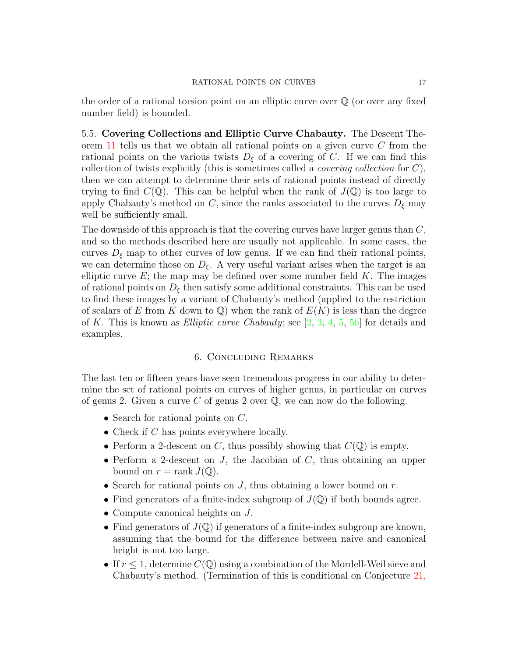the order of a rational torsion point on an elliptic curve over  $\mathbb Q$  (or over any fixed number field) is bounded.

5.5. Covering Collections and Elliptic Curve Chabauty. The Descent Theorem [11](#page-6-0) tells us that we obtain all rational points on a given curve C from the rational points on the various twists  $D_{\xi}$  of a covering of C. If we can find this collection of twists explicitly (this is sometimes called a *covering collection* for  $C$ ), then we can attempt to determine their sets of rational points instead of directly trying to find  $C(\mathbb{Q})$ . This can be helpful when the rank of  $J(\mathbb{Q})$  is too large to apply Chabauty's method on C, since the ranks associated to the curves  $D_{\xi}$  may well be sufficiently small.

The downside of this approach is that the covering curves have larger genus than C, and so the methods described here are usually not applicable. In some cases, the curves  $D_{\xi}$  map to other curves of low genus. If we can find their rational points, we can determine those on  $D_{\xi}$ . A very useful variant arises when the target is an elliptic curve  $E$ ; the map may be defined over some number field  $K$ . The images of rational points on  $D_{\xi}$  then satisfy some additional constraints. This can be used to find these images by a variant of Chabauty's method (applied to the restriction of scalars of E from K down to  $\mathbb{Q}$ ) when the rank of  $E(K)$  is less than the degree of K. This is known as *Elliptic curve Chabauty*; see  $[2, 3, 4, 5, 56]$  $[2, 3, 4, 5, 56]$  $[2, 3, 4, 5, 56]$  $[2, 3, 4, 5, 56]$  $[2, 3, 4, 5, 56]$  $[2, 3, 4, 5, 56]$  $[2, 3, 4, 5, 56]$  $[2, 3, 4, 5, 56]$  $[2, 3, 4, 5, 56]$  for details and examples.

## 6. Concluding Remarks

The last ten or fifteen years have seen tremendous progress in our ability to determine the set of rational points on curves of higher genus, in particular on curves of genus 2. Given a curve C of genus 2 over  $\mathbb{Q}$ , we can now do the following.

- Search for rational points on  $C$ .
- Check if  $C$  has points everywhere locally.
- Perform a 2-descent on C, thus possibly showing that  $C(\mathbb{Q})$  is empty.
- Perform a 2-descent on  $J$ , the Jacobian of  $C$ , thus obtaining an upper bound on  $r = \text{rank } J(\mathbb{Q})$ .
- Search for rational points on  $J$ , thus obtaining a lower bound on  $r$ .
- Find generators of a finite-index subgroup of  $J(Q)$  if both bounds agree.
- Compute canonical heights on J.
- Find generators of  $J(\mathbb{Q})$  if generators of a finite-index subgroup are known, assuming that the bound for the difference between naive and canonical height is not too large.
- If  $r \leq 1$ , determine  $C(\mathbb{Q})$  using a combination of the Mordell-Weil sieve and Chabauty's method. (Termination of this is conditional on Conjecture [21,](#page-11-0)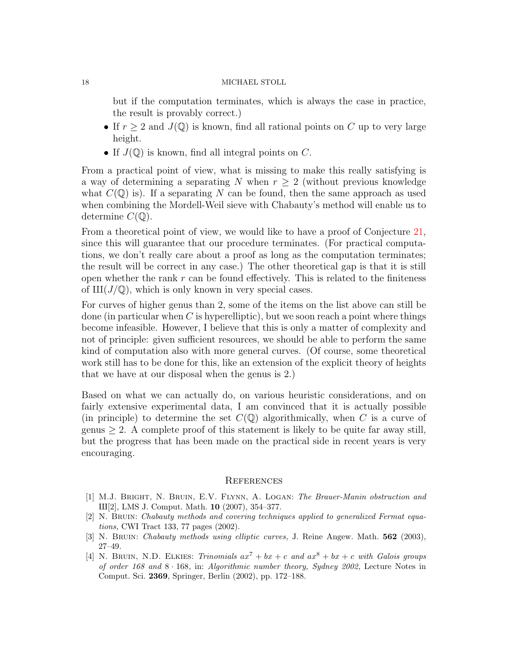but if the computation terminates, which is always the case in practice, the result is provably correct.)

- If  $r \geq 2$  and  $J(\mathbb{Q})$  is known, find all rational points on C up to very large height.
- If  $J(\mathbb{Q})$  is known, find all integral points on C.

From a practical point of view, what is missing to make this really satisfying is a way of determining a separating N when  $r \geq 2$  (without previous knowledge what  $C(\mathbb{Q})$  is). If a separating N can be found, then the same approach as used when combining the Mordell-Weil sieve with Chabauty's method will enable us to determine  $C(\mathbb{Q})$ .

From a theoretical point of view, we would like to have a proof of Conjecture [21,](#page-11-0) since this will guarantee that our procedure terminates. (For practical computations, we don't really care about a proof as long as the computation terminates; the result will be correct in any case.) The other theoretical gap is that it is still open whether the rank  $r$  can be found effectively. This is related to the finiteness of  $III(J/\mathbb{Q})$ , which is only known in very special cases.

For curves of higher genus than 2, some of the items on the list above can still be done (in particular when C is hyperelliptic), but we soon reach a point where things become infeasible. However, I believe that this is only a matter of complexity and not of principle: given sufficient resources, we should be able to perform the same kind of computation also with more general curves. (Of course, some theoretical work still has to be done for this, like an extension of the explicit theory of heights that we have at our disposal when the genus is 2.)

Based on what we can actually do, on various heuristic considerations, and on fairly extensive experimental data, I am convinced that it is actually possible (in principle) to determine the set  $C(\mathbb{Q})$  algorithmically, when C is a curve of genus  $\geq$  2. A complete proof of this statement is likely to be quite far away still, but the progress that has been made on the practical side in recent years is very encouraging.

#### **REFERENCES**

- <span id="page-17-0"></span>[1] M.J. Bright, N. Bruin, E.V. Flynn, A. Logan: The Brauer-Manin obstruction and X[2], LMS J. Comput. Math. 10 (2007), 354–377.
- <span id="page-17-1"></span>[2] N. Bruin: Chabauty methods and covering techniques applied to generalized Fermat equations, CWI Tract 133, 77 pages (2002).
- <span id="page-17-2"></span>[3] N. BRUIN: Chabauty methods using elliptic curves, J. Reine Angew. Math. **562** (2003), 27–49.
- <span id="page-17-3"></span>[4] N. BRUIN, N.D. ELKIES: Trinomials  $ax^{7} + bx + c$  and  $ax^{8} + bx + c$  with Galois groups of order 168 and  $8 \cdot 168$ , in: Algorithmic number theory, Sydney 2002, Lecture Notes in Comput. Sci. 2369, Springer, Berlin (2002), pp. 172–188.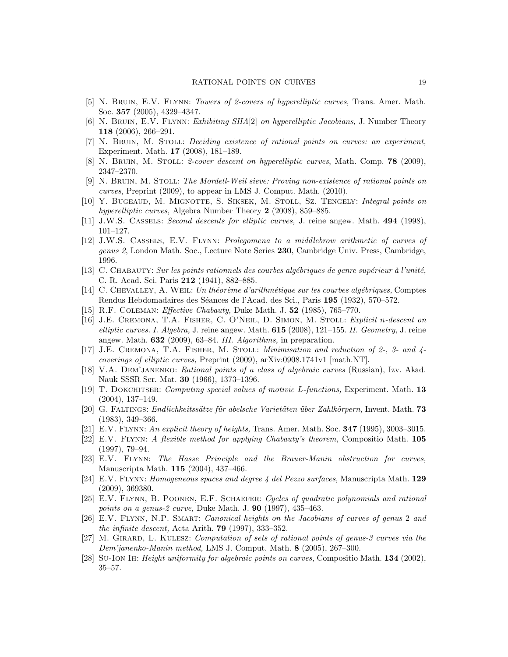- <span id="page-18-23"></span>[5] N. Bruin, E.V. Flynn: Towers of 2-covers of hyperelliptic curves, Trans. Amer. Math. Soc. 357 (2005), 4329–4347.
- <span id="page-18-11"></span>[6] N. Bruin, E.V. Flynn: Exhibiting SHA[2] on hyperelliptic Jacobians, J. Number Theory 118 (2006), 266–291.
- <span id="page-18-5"></span>[7] N. Bruin, M. Stoll: Deciding existence of rational points on curves: an experiment, Experiment. Math. 17 (2008), 181–189.
- <span id="page-18-6"></span>[8] N. Bruin, M. Stoll: 2-cover descent on hyperelliptic curves, Math. Comp. 78 (2009), 2347–2370.
- <span id="page-18-9"></span>[9] N. Bruin, M. Stoll: The Mordell-Weil sieve: Proving non-existence of rational points on curves, Preprint (2009), to appear in LMS J. Comput. Math. (2010).
- <span id="page-18-19"></span>[10] Y. Bugeaud, M. Mignotte, S. Siksek, M. Stoll, Sz. Tengely: Integral points on hyperelliptic curves, Algebra Number Theory 2 (2008), 859–885.
- <span id="page-18-1"></span>[11] J.W.S. Cassels: Second descents for elliptic curves, J. reine angew. Math. 494 (1998), 101–127.
- <span id="page-18-17"></span>[12] J.W.S. Cassels, E.V. Flynn: Prolegomena to a middlebrow arithmetic of curves of genus 2, London Math. Soc., Lecture Note Series 230, Cambridge Univ. Press, Cambridge, 1996.
- <span id="page-18-13"></span> $[13]$  C. CHABAUTY: Sur les points rationnels des courbes algébriques de genre supérieur à l'unité, C. R. Acad. Sci. Paris 212 (1941), 882–885.
- <span id="page-18-7"></span>[14] C. CHEVALLEY, A. WEIL: Un théorème d'arithmétique sur les courbes algébriques, Comptes Rendus Hebdomadaires des Séances de l'Acad. des Sci., Paris 195 (1932), 570–572.
- <span id="page-18-14"></span>[15] R.F. Coleman: Effective Chabauty, Duke Math. J. 52 (1985), 765–770.
- <span id="page-18-2"></span>[16] J.E. Cremona, T.A. Fisher, C. O'Neil, D. Simon, M. Stoll: Explicit n-descent on elliptic curves. I. Algebra, J. reine angew. Math.  $615$  (2008), 121–155. II. Geometry, J. reine angew. Math. 632 (2009), 63–84. III. Algorithms, in preparation.
- <span id="page-18-3"></span>[17] J.E. Cremona, T.A. Fisher, M. Stoll: Minimisation and reduction of 2-, 3- and 4 coverings of elliptic curves, Preprint (2009), arXiv:0908.1741v1 [math.NT].
- <span id="page-18-21"></span>[18] V.A. Dem'janenko: Rational points of a class of algebraic curves (Russian), Izv. Akad. Nauk SSSR Ser. Mat. 30 (1966), 1373–1396.
- <span id="page-18-20"></span>[19] T. Dokchitser: Computing special values of motivic L-functions, Experiment. Math. 13 (2004), 137–149.
- <span id="page-18-0"></span>[20] G. FALTINGS: *Endlichkeitssätze für abelsche Varietäten über Zahlkörpern*, Invent. Math. **73** (1983), 349–366.
- <span id="page-18-18"></span>[21] E.V. FLYNN: An explicit theory of heights, Trans. Amer. Math. Soc.  $347$  (1995), 3003–3015.
- <span id="page-18-15"></span>[22] E.V. Flynn: A flexible method for applying Chabauty's theorem, Compositio Math. 105 (1997), 79–94.
- <span id="page-18-8"></span>[23] E.V. Flynn: The Hasse Principle and the Brauer-Manin obstruction for curves, Manuscripta Math. 115 (2004), 437–466.
- <span id="page-18-12"></span>[24] E.V. Flynn: Homogeneous spaces and degree 4 del Pezzo surfaces, Manuscripta Math. 129 (2009), 369380.
- <span id="page-18-16"></span>[25] E.V. Flynn, B. Poonen, E.F. Schaefer: Cycles of quadratic polynomials and rational points on a genus-2 curve, Duke Math. J. 90 (1997), 435–463.
- <span id="page-18-10"></span>[26] E.V. FLYNN, N.P. SMART: *Canonical heights on the Jacobians of curves of genus 2 and* the infinite descent, Acta Arith. 79 (1997), 333–352.
- <span id="page-18-22"></span>[27] M. Girard, L. Kulesz: Computation of sets of rational points of genus-3 curves via the Dem'janenko-Manin method, LMS J. Comput. Math. 8 (2005), 267–300.
- <span id="page-18-4"></span>[28] Su-Ion Ih: Height uniformity for algebraic points on curves, Compositio Math. 134 (2002), 35–57.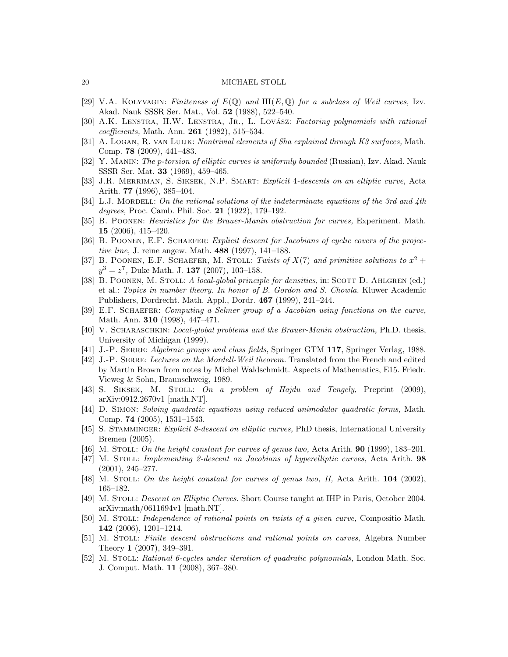- <span id="page-19-6"></span>[29] V.A. KOLYVAGIN: Finiteness of  $E(\mathbb{Q})$  and  $III(E, \mathbb{Q})$  for a subclass of Weil curves, Izv. Akad. Nauk SSSR Ser. Mat., Vol. 52 (1988), 522–540.
- <span id="page-19-2"></span>[30] A.K. LENSTRA, H.W. LENSTRA, JR., L. LOVÁSZ: Factoring polynomials with rational coefficients, Math. Ann. 261 (1982), 515–534.
- <span id="page-19-16"></span>[31] A. LOGAN, R. VAN LUIJK: Nontrivial elements of Sha explained through K3 surfaces, Math. Comp. 78 (2009), 441–483.
- <span id="page-19-23"></span>[32] Y. Manin: The p-torsion of elliptic curves is uniformly bounded (Russian), Izv. Akad. Nauk SSSR Ser. Mat. 33 (1969), 459–465.
- <span id="page-19-3"></span>[33] J.R. MERRIMAN, S. SIKSEK, N.P. SMART: *Explicit 4-descents on an elliptic curve*, Acta Arith. 77 (1996), 385–404.
- <span id="page-19-0"></span>[34] L.J. MORDELL: On the rational solutions of the indeterminate equations of the 3rd and  $4th$ degrees, Proc. Camb. Phil. Soc. 21 (1922), 179–192.
- <span id="page-19-11"></span>[35] B. Poonen: Heuristics for the Brauer-Manin obstruction for curves, Experiment. Math. 15 (2006), 415–420.
- <span id="page-19-13"></span>[36] B. POONEN, E.F. SCHAEFER: *Explicit descent for Jacobians of cyclic covers of the projec*tive line, J. reine angew. Math. 488 (1997), 141–188.
- <span id="page-19-15"></span>[37] B. POONEN, E.F. SCHAEFER, M. STOLL: Twists of  $X(7)$  and primitive solutions to  $x^2 +$  $y^3 = z^7$ , Duke Math. J. 137 (2007), 103-158.
- <span id="page-19-7"></span>[38] B. POONEN, M. STOLL: A local-global principle for densities, in: SCOTT D. AHLGREN (ed.) et al.: Topics in number theory. In honor of B. Gordon and S. Chowla. Kluwer Academic Publishers, Dordrecht. Math. Appl., Dordr. 467 (1999), 241–244.
- <span id="page-19-12"></span>[39] E.F. SCHAEFER: Computing a Selmer group of a Jacobian using functions on the curve, Math. Ann. 310 (1998), 447–471.
- <span id="page-19-10"></span>[40] V. SCHARASCHKIN: *Local-global problems and the Brauer-Manin obstruction*, Ph.D. thesis, University of Michigan (1999).
- <span id="page-19-8"></span>[41] J.-P. SERRE: Algebraic groups and class fields, Springer GTM 117, Springer Verlag, 1988.
- <span id="page-19-22"></span>[42] J.-P. SERRE: Lectures on the Mordell-Weil theorem. Translated from the French and edited by Martin Brown from notes by Michel Waldschmidt. Aspects of Mathematics, E15. Friedr. Vieweg & Sohn, Braunschweig, 1989.
- <span id="page-19-21"></span>[43] S. Siksek, M. Stoll: On a problem of Hajdu and Tengely, Preprint (2009), arXiv:0912.2670v1 [math.NT].
- <span id="page-19-1"></span>[44] D. Simon: Solving quadratic equations using reduced unimodular quadratic forms, Math. Comp. 74 (2005), 1531–1543.
- <span id="page-19-4"></span>[45] S. STAMMINGER: *Explicit 8-descent on elliptic curves*, PhD thesis, International University Bremen (2005).
- <span id="page-19-18"></span>[46] M. STOLL: On the height constant for curves of genus two, Acta Arith. **90** (1999), 183–201.
- <span id="page-19-14"></span>[47] M. STOLL: *Implementing 2-descent on Jacobians of hyperelliptic curves*, Acta Arith. 98 (2001), 245–277.
- <span id="page-19-19"></span>[48] M. STOLL: On the height constant for curves of genus two, II, Acta Arith.  $104$  (2002), 165–182.
- <span id="page-19-5"></span>[49] M. Stoll: Descent on Elliptic Curves. Short Course taught at IHP in Paris, October 2004. arXiv:math/0611694v1 [math.NT].
- <span id="page-19-17"></span>[50] M. STOLL: *Independence of rational points on twists of a given curve*, Compositio Math. 142 (2006), 1201–1214.
- <span id="page-19-9"></span>[51] M. STOLL: Finite descent obstructions and rational points on curves, Algebra Number Theory 1 (2007), 349–391.
- <span id="page-19-20"></span>[52] M. STOLL: Rational 6-cycles under iteration of quadratic polynomials, London Math. Soc. J. Comput. Math. 11 (2008), 367–380.